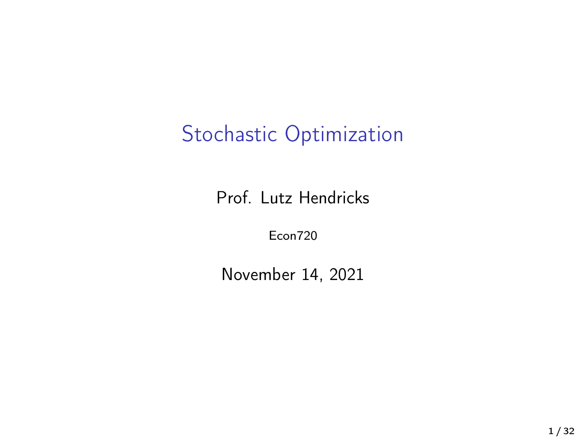# Stochastic Optimization

Prof. Lutz Hendricks

Econ720

November 14, 2021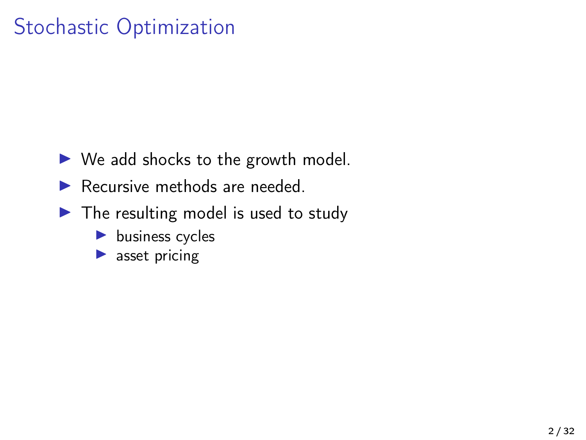# Stochastic Optimization

- $\triangleright$  We add shocks to the growth model.
- $\blacktriangleright$  Recursive methods are needed.
- $\blacktriangleright$  The resulting model is used to study
	- $\blacktriangleright$  business cycles
	- $\blacktriangleright$  asset pricing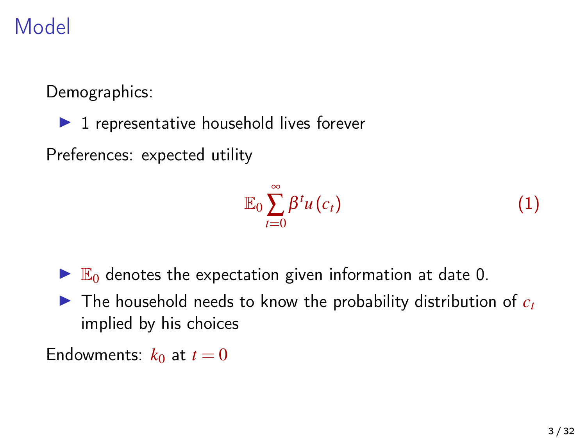# Model

Demographics:

 $\blacktriangleright$  1 representative household lives forever

Preferences: expected utility

$$
\mathbb{E}_0 \sum_{t=0}^{\infty} \beta^t u(c_t) \tag{1}
$$

- $\blacktriangleright$   $\mathbb{E}_0$  denotes the expectation given information at date 0.
- $\triangleright$  The household needs to know the probability distribution of  $c_t$ implied by his choices

Endowments:  $k_0$  at  $t=0$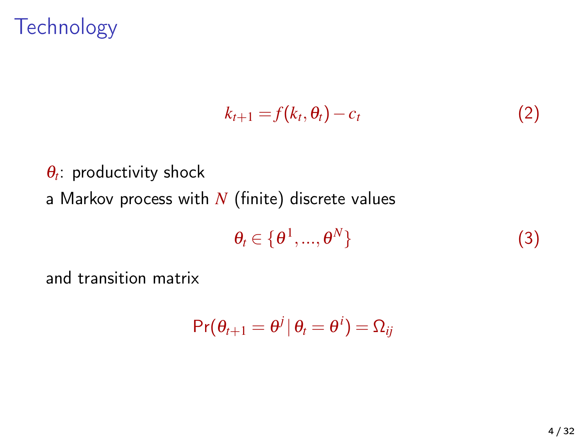# **Technology**

$$
k_{t+1} = f(k_t, \theta_t) - c_t \tag{2}
$$

 $\theta_t$ : productivity shock a Markov process with *N* (finite) discrete values

$$
\theta_t \in \{\theta^1, ..., \theta^N\} \tag{3}
$$

and transition matrix

$$
\Pr(\theta_{t+1} = \theta^j | \theta_t = \theta^i) = \Omega_{ij}
$$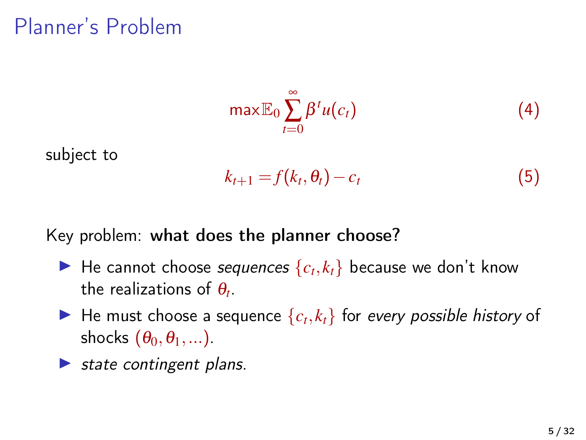# Planner's Problem

$$
\max \mathbb{E}_0 \sum_{t=0}^{\infty} \beta^t u(c_t) \tag{4}
$$

subject to

$$
k_{t+1} = f(k_t, \theta_t) - c_t \tag{5}
$$

Key problem: what does the planner choose?

- $\blacktriangleright$  He cannot choose *sequences*  $\{c_t, k_t\}$  because we don't know the realizations of  $\theta_t$ .
- $\blacktriangleright$  He must choose a sequence  $\{c_t, k_t\}$  for every possible history of shocks  $(\theta_0, \theta_1, \dots)$ .
- $\triangleright$  state contingent plans.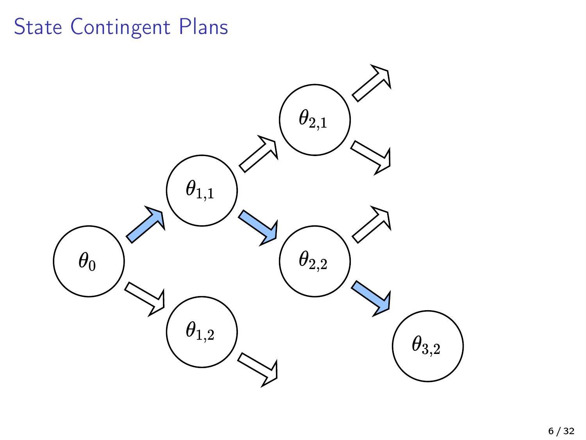# State Contingent Plans

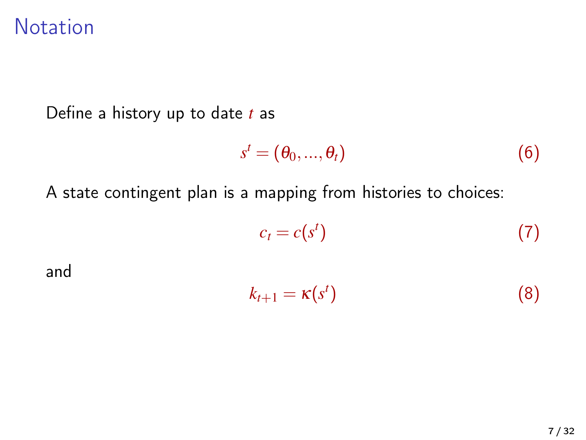### **Notation**

Define a history up to date *t* as

$$
s^t = (\theta_0, ..., \theta_t)
$$
 (6)

A state contingent plan is a mapping from histories to choices:

$$
c_t = c(s^t) \tag{7}
$$

and

$$
k_{t+1} = \kappa(s^t) \tag{8}
$$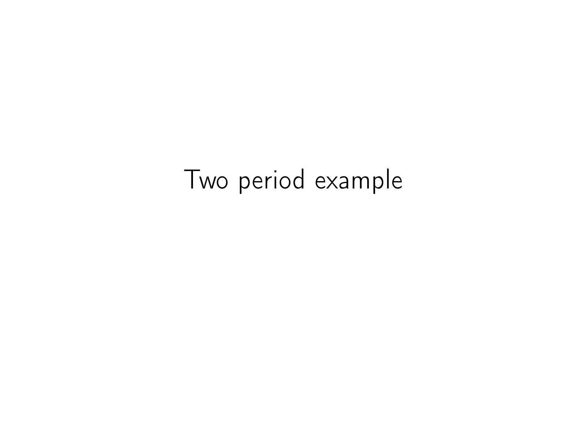# Two period example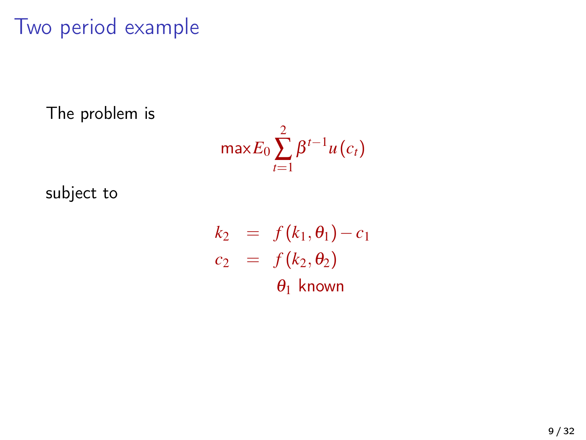# Two period example

The problem is

$$
\max E_0 \sum_{t=1}^2 \beta^{t-1} u(c_t)
$$

subject to

$$
k_2 = f(k_1, \theta_1) - c_1
$$
  
\n
$$
c_2 = f(k_2, \theta_2)
$$
  
\n
$$
\theta_1 \text{ known}
$$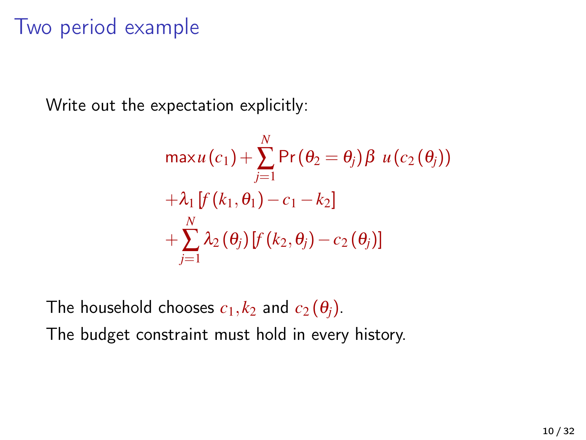# Two period example

Write out the expectation explicitly:

$$
\max u(c_1) + \sum_{j=1}^N \Pr(\theta_2 = \theta_j) \beta u(c_2(\theta_j))
$$
  
+  $\lambda_1 \left[ f(k_1, \theta_1) - c_1 - k_2 \right]$   
+  $\sum_{j=1}^N \lambda_2(\theta_j) \left[ f(k_2, \theta_j) - c_2(\theta_j) \right]$ 

The household chooses  $c_1, k_2$  and  $c_2(\theta_j)$ .

The budget constraint must hold in every history.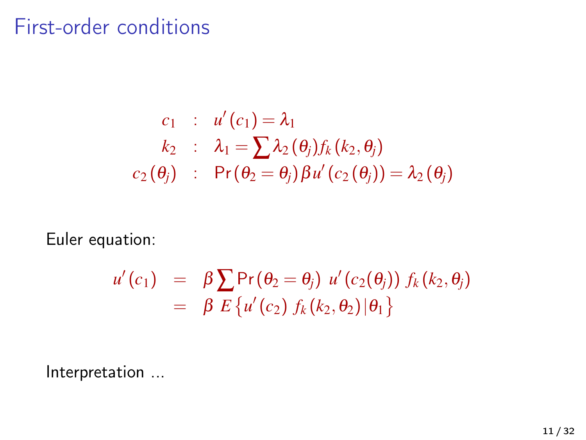### First-order conditions

$$
\begin{array}{lcl} c_1 & : & u'(c_1) = \lambda_1 \\ & k_2 & : & \lambda_1 = \sum \lambda_2 \left( \theta_j \right) f_k \left( k_2, \theta_j \right) \\ & c_2 \left( \theta_j \right) & : & \Pr \left( \theta_2 = \theta_j \right) \beta u' \left( c_2 \left( \theta_j \right) \right) = \lambda_2 \left( \theta_j \right) \end{array}
$$

Euler equation:

$$
u'(c_1) = \beta \sum \Pr(\theta_2 = \theta_j) u'(c_2(\theta_j)) f_k(k_2, \theta_j)
$$
  
=  $\beta E \{ u'(c_2) f_k(k_2, \theta_2) | \theta_1 \}$ 

Interpretation ...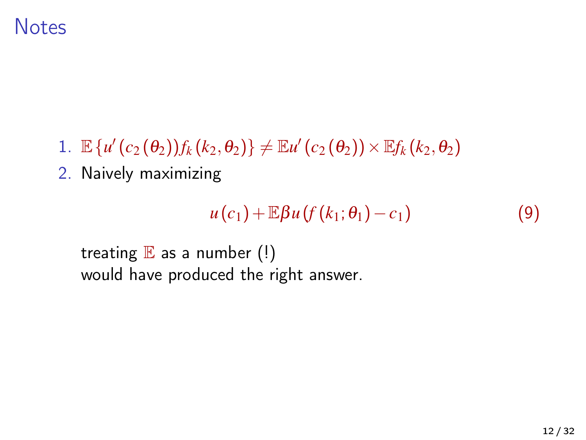### **Notes**

- 1.  $\mathbb{E}\left\{u'(c_2(\theta_2))f_k(k_2,\theta_2)\right\}\neq \mathbb{E}u'(c_2(\theta_2))\times \mathbb{E}f_k(k_2,\theta_2)$
- 2. Naively maximizing

$$
u(c_1)+\mathbb{E}\beta u(f(k_1;\theta_1)-c_1) \qquad \qquad (9)
$$

```
treating E as a number (!)
would have produced the right answer.
```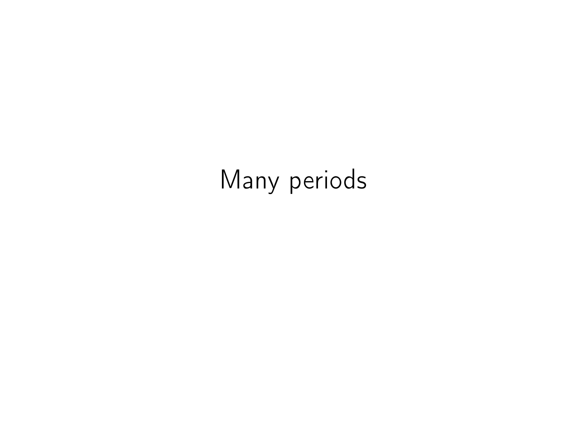# Many periods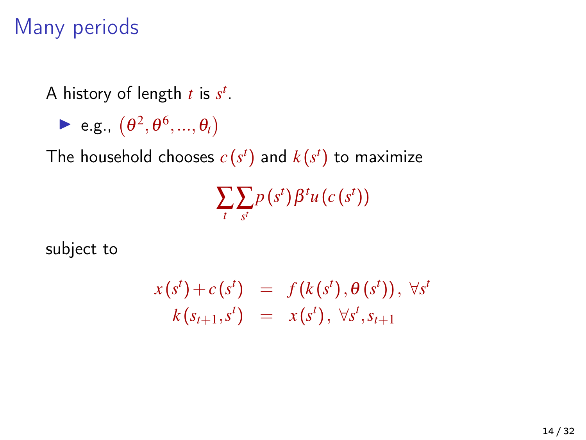# Many periods

A history of length *t* is *s t* .

 $\blacktriangleright$  e.g.,  $(\theta^2, \theta^6, ..., \theta_t)$ 

The household chooses  $c(s^t)$  and  $k(s^t)$  to maximize

 $\sum_{t} \sum_{s^{t}} p(s^{t}) \beta^{t} u(c(s^{t}))$ 

subject to

$$
x(st) + c(st) = f(k(st), \theta(st)), \forall st \nk(st+1, st) = x(st), \forall st, st+1
$$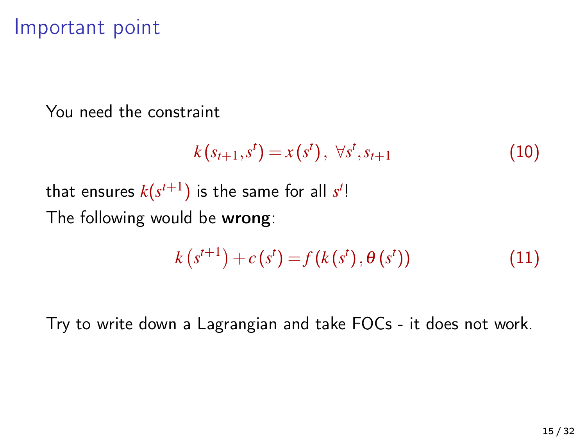### Important point

You need the constraint

$$
k(s_{t+1}, s^t) = x(s^t), \ \forall s^t, s_{t+1} \tag{10}
$$

that ensures  $k(s^{t+1})$  is the same for all  $s^t!$ The following would be wrong:

$$
k(s^{t+1}) + c(s^t) = f(k(s^t), \theta(s^t))
$$
\n(11)

Try to write down a Lagrangian and take FOCs - it does not work.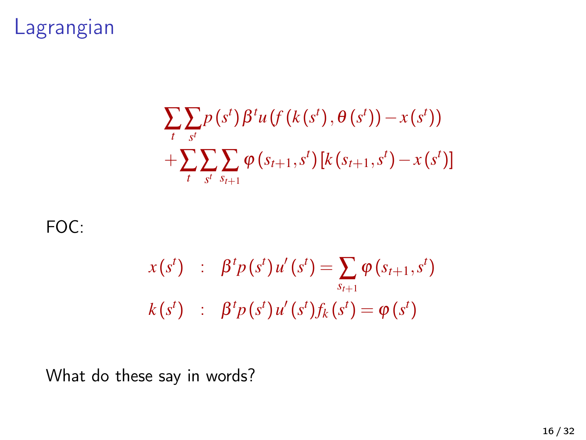# Lagrangian

$$
\sum_{t} \sum_{s^{t}} p(s^{t}) \beta^{t} u(f(k(s^{t}), \theta(s^{t})) - x(s^{t})) + \sum_{t} \sum_{s^{t}} \sum_{s_{t+1}} \varphi(s_{t+1}, s^{t}) [k(s_{t+1}, s^{t}) - x(s^{t})]
$$

#### FOC:

$$
x(s^{t}) \quad : \quad \beta^{t} p(s^{t}) u'(s^{t}) = \sum_{s_{t+1}} \varphi(s_{t+1}, s^{t})
$$

$$
k(s^{t}) \quad : \quad \beta^{t} p(s^{t}) u'(s^{t}) f_{k}(s^{t}) = \varphi(s^{t})
$$

What do these say in words?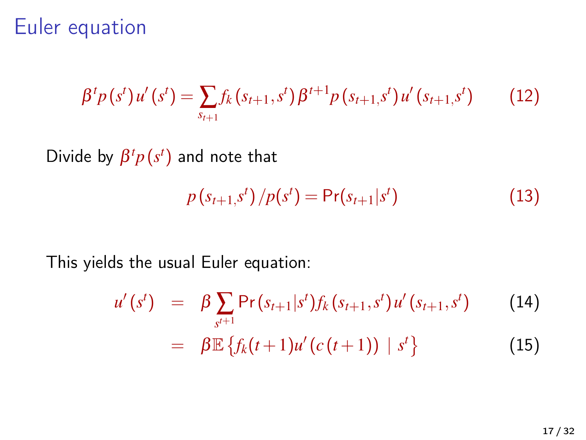### Euler equation

$$
\beta^{t} p(s^{t}) u'(s^{t}) = \sum_{s_{t+1}} f_{k}(s_{t+1}, s^{t}) \beta^{t+1} p(s_{t+1}, s^{t}) u'(s_{t+1}, s^{t}) \qquad (12)
$$

Divide by  $\beta^t p(s^t)$  and note that

$$
p(s_{t+1},s^t)/p(s^t) = Pr(s_{t+1}|s^t)
$$
\n(13)

This yields the usual Euler equation:

$$
u'(s') = \beta \sum_{s^{t+1}} \Pr(s_{t+1}|s^t) f_k(s_{t+1}, s^t) u'(s_{t+1}, s^t)
$$
(14)  

$$
= \beta \mathbb{E} \{ f_k(t+1) u'(c(t+1)) | s^t \}
$$
(15)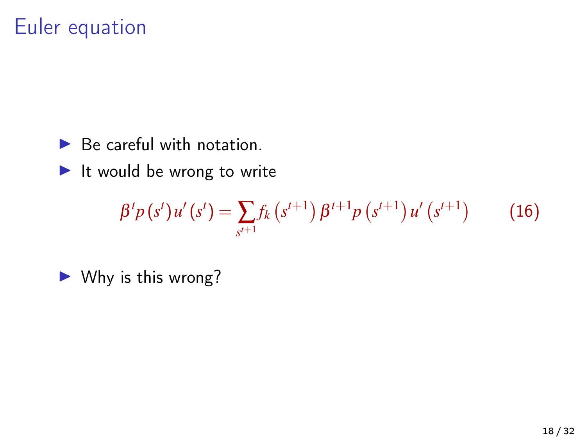# Euler equation

 $\blacktriangleright$  Be careful with notation.

 $\blacktriangleright$  It would be wrong to write

$$
\beta^{t} p(s^{t}) u'(s^{t}) = \sum_{s^{t+1}} f_{k}(s^{t+1}) \beta^{t+1} p(s^{t+1}) u'(s^{t+1}) \qquad (16)
$$

 $\blacktriangleright$  Why is this wrong?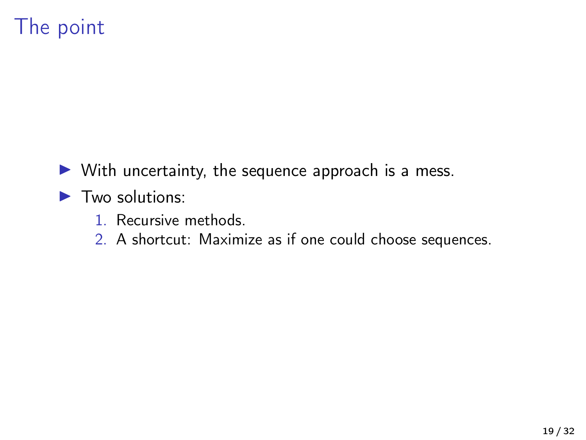# The point

- $\triangleright$  With uncertainty, the sequence approach is a mess.
- $\blacktriangleright$  Two solutions:
	- 1. Recursive methods.
	- 2. A shortcut: Maximize as if one could choose sequences.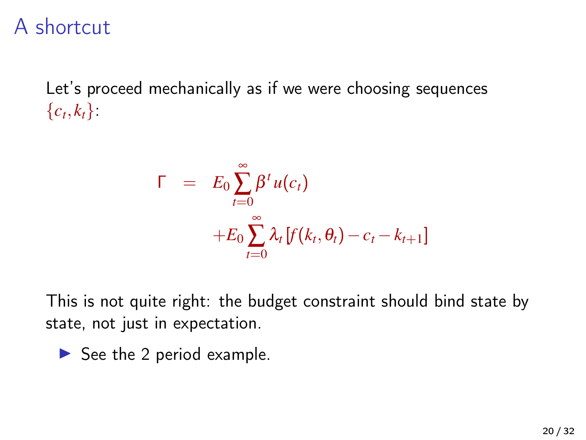### A shortcut

Let's proceed mechanically as if we were choosing sequences  ${c_t, k_t}.$ 

$$
\Gamma = E_0 \sum_{t=0}^{\infty} \beta^t u(c_t)
$$
  
+
$$
E_0 \sum_{t=0}^{\infty} \lambda_t [f(k_t, \theta_t) - c_t - k_{t+1}]
$$

This is not quite right: the budget constraint should bind state by state, not just in expectation.

$$
\blacktriangleright
$$
 See the 2 period example.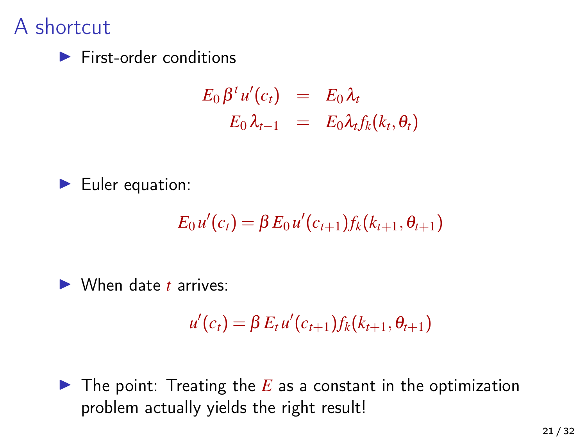### A shortcut

 $\blacktriangleright$  First-order conditions

$$
E_0 \beta^t u'(c_t) = E_0 \lambda_t
$$
  

$$
E_0 \lambda_{t-1} = E_0 \lambda_t f_k(k_t, \theta_t)
$$



$$
E_0 u'(c_t) = \beta E_0 u'(c_{t+1}) f_k(k_{t+1}, \theta_{t+1})
$$

▶ When date *t* arrives:

$$
u'(c_t) = \beta E_t u'(c_{t+1}) f_k(k_{t+1}, \theta_{t+1})
$$

 $\blacktriangleright$  The point: Treating the *E* as a constant in the optimization problem actually yields the right result!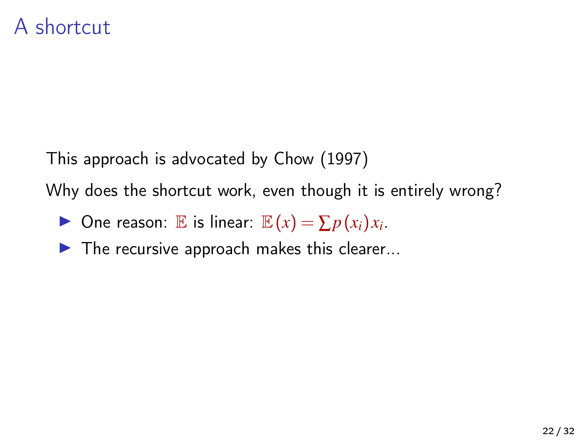This approach is advocated by [Chow \(1997\)](#page-31-0)

Why does the shortcut work, even though it is entirely wrong?

▶ One reason:  $\mathbb E$  is linear:  $\mathbb E(x) = \sum p(x_i)x_i$ .

 $\blacktriangleright$  The recursive approach makes this clearer...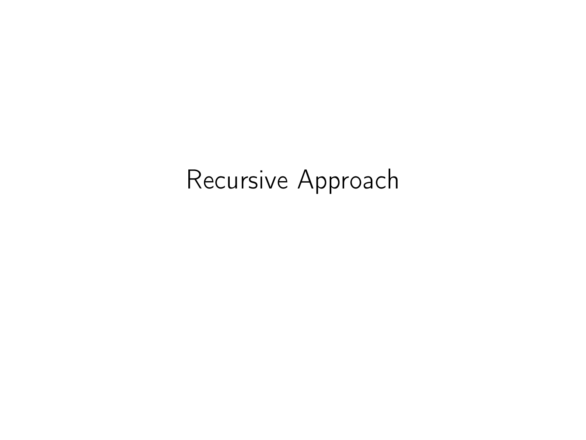# Recursive Approach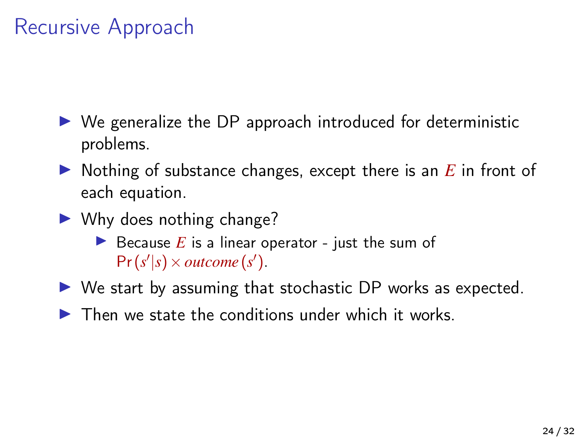# Recursive Approach

- $\triangleright$  We generalize the DP approach introduced for deterministic problems.
- $\triangleright$  Nothing of substance changes, except there is an  $E$  in front of each equation.
- $\blacktriangleright$  Why does nothing change?
	- Because  $E$  is a linear operator just the sum of  $Pr(s'|s) \times outcome(s')$ .
- $\triangleright$  We start by assuming that stochastic DP works as expected.
- $\blacktriangleright$  Then we state the conditions under which it works.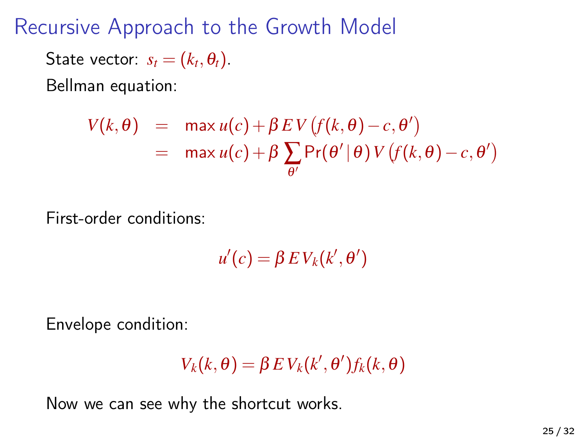Recursive Approach to the Growth Model

State vector:  $s_t = (k_t, \theta_t)$ .

Bellman equation:

$$
V(k, \theta) = \max u(c) + \beta EV(f(k, \theta) - c, \theta')
$$
  
= 
$$
\max u(c) + \beta \sum_{\theta'} Pr(\theta' | \theta) V(f(k, \theta) - c, \theta')
$$

First-order conditions:

 $u'(c) = \beta E V_k(k', \theta')$ 

Envelope condition:

$$
V_k(k, \theta) = \beta \, E \, V_k(k', \theta') f_k(k, \theta)
$$

Now we can see why the shortcut works.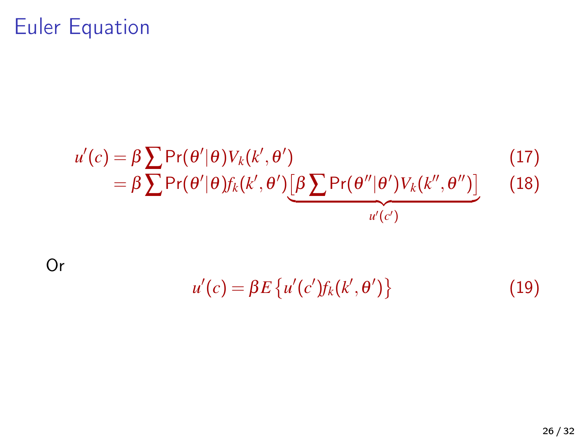# Euler Equation

$$
u'(c) = \beta \sum \Pr(\theta'|\theta) V_k(k', \theta')
$$
\n
$$
= \beta \sum \Pr(\theta'|\theta) f_k(k', \theta') \underbrace{[\beta \sum \Pr(\theta''|\theta') V_k(k'', \theta'')]}_{u'(c')}
$$
\n(18)

Or

 $u'(c) = \beta E \{ u'(c') f_k(k', \theta') \}$ (19)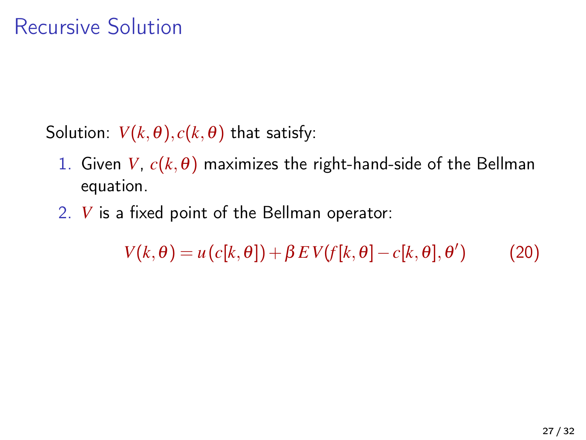- Solution:  $V(k, \theta)$ ,  $c(k, \theta)$  that satisfy:
	- 1. Given *V*,  $c(k, \theta)$  maximizes the right-hand-side of the Bellman equation.
	- 2. *V* is a fixed point of the Bellman operator:

 $V(k, \theta) = u(c[k, \theta]) + \beta EV(f[k, \theta] - c[k, \theta], \theta')$  $(20)$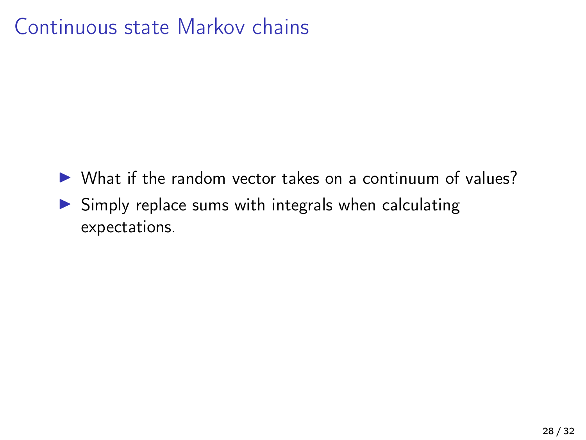# Continuous state Markov chains

- $\triangleright$  What if the random vector takes on a continuum of values?
- $\triangleright$  Simply replace sums with integrals when calculating expectations.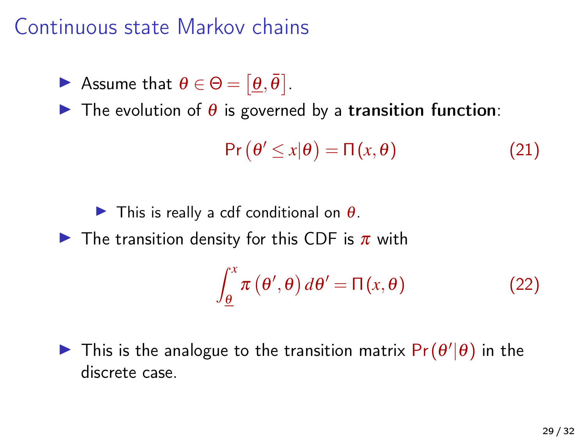### Continuous state Markov chains

Assume that  $\theta \in \Theta = [\underline{\theta}, \overline{\theta}]$ .

 $\triangleright$  The evolution of  $\theta$  is governed by a transition function:

$$
\Pr(\theta' \le x|\theta) = \Pi(x, \theta) \tag{21}
$$

 $\blacktriangleright$  This is really a cdf conditional on  $\theta$ .

 $\triangleright$  The transition density for this CDF is  $\pi$  with

$$
\int_{\underline{\theta}}^{x} \pi(\theta', \theta) d\theta' = \Pi(x, \theta)
$$
 (22)

 $\blacktriangleright$  This is the analogue to the transition matrix  $\Pr(\theta'|\theta)$  in the discrete case.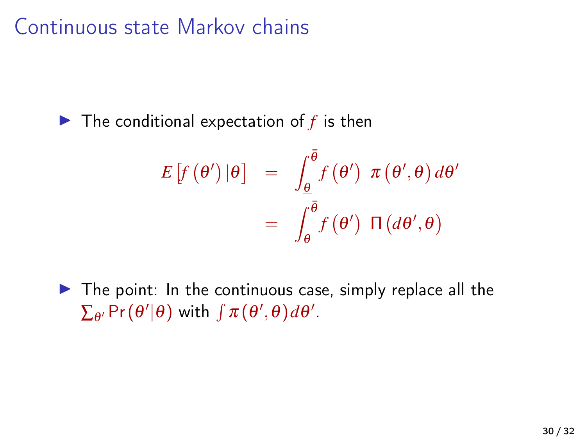# Continuous state Markov chains

 $\blacktriangleright$  The conditional expectation of  $f$  is then

$$
E\left[f\left(\theta'\right)|\theta\right] = \int_{\underline{\theta}}^{\overline{\theta}} f\left(\theta'\right) \pi\left(\theta',\theta\right) d\theta'
$$

$$
= \int_{\underline{\theta}}^{\overline{\theta}} f\left(\theta'\right) \Pi\left(d\theta',\theta\right)
$$

 $\triangleright$  The point: In the continuous case, simply replace all the  $\sum_{\theta'} \Pr(\theta'|\theta)$  with  $\int \pi(\theta', \theta) d\theta'.$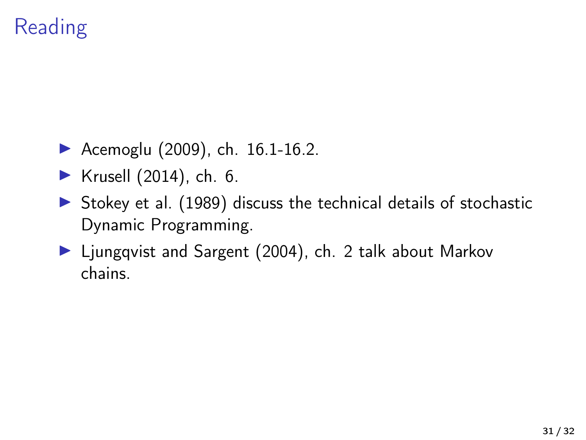# Reading

- [Acemoglu \(2009\)](#page-31-1), ch.  $16.1 16.2$ .
- Krusell  $(2014)$ , ch. 6.
- $\triangleright$  [Stokey et al. \(1989\)](#page-31-3) discuss the technical details of stochastic Dynamic Programming.
- ▶ [Ljungqvist and Sargent \(2004\)](#page-31-4), ch. 2 talk about Markov chains.